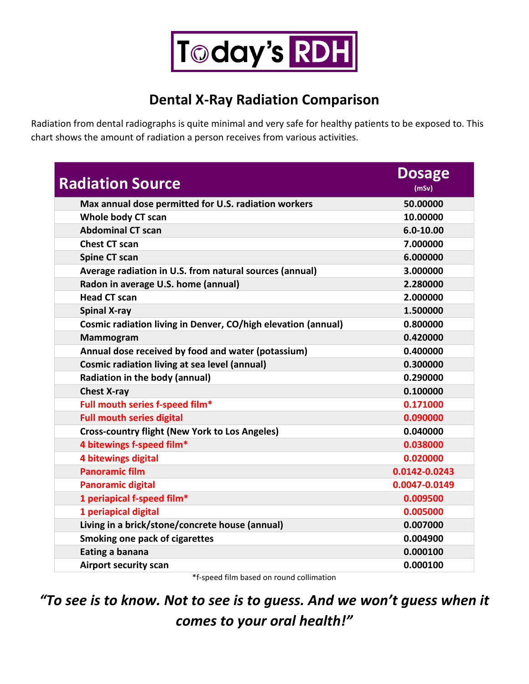

## **Dental X-Ray Radiation Comparison**

Radiation from dental radiographs is quite minimal and very safe for healthy patients to be exposed to. This chart shows the amount of radiation a person receives from various activities.

| <b>Radiation Source</b>                                       | <b>Dosage</b><br>(mSv) |
|---------------------------------------------------------------|------------------------|
| Max annual dose permitted for U.S. radiation workers          | 50.00000               |
| Whole body CT scan                                            | 10.00000               |
| <b>Abdominal CT scan</b>                                      | $6.0 - 10.00$          |
| <b>Chest CT scan</b>                                          | 7.000000               |
| <b>Spine CT scan</b>                                          | 6.000000               |
| Average radiation in U.S. from natural sources (annual)       | 3.000000               |
| Radon in average U.S. home (annual)                           | 2.280000               |
| <b>Head CT scan</b>                                           | 2.000000               |
| <b>Spinal X-ray</b>                                           | 1.500000               |
| Cosmic radiation living in Denver, CO/high elevation (annual) | 0.800000               |
| <b>Mammogram</b>                                              | 0.420000               |
| Annual dose received by food and water (potassium)            | 0.400000               |
| <b>Cosmic radiation living at sea level (annual)</b>          | 0.300000               |
| Radiation in the body (annual)                                | 0.290000               |
| <b>Chest X-ray</b>                                            | 0.100000               |
| Full mouth series f-speed film*                               | 0.171000               |
| <b>Full mouth series digital</b>                              | 0.090000               |
| <b>Cross-country flight (New York to Los Angeles)</b>         | 0.040000               |
| 4 bitewings f-speed film*                                     | 0.038000               |
| 4 bitewings digital                                           | 0.020000               |
| <b>Panoramic film</b>                                         | 0.0142-0.0243          |
| <b>Panoramic digital</b>                                      | 0.0047-0.0149          |
| 1 periapical f-speed film*                                    | 0.009500               |
| 1 periapical digital                                          | 0.005000               |
| Living in a brick/stone/concrete house (annual)               | 0.007000               |
| <b>Smoking one pack of cigarettes</b>                         | 0.004900               |
| Eating a banana                                               | 0.000100               |
| <b>Airport security scan</b>                                  | 0.000100               |

\*f-speed film based on round collimation

*"To see is to know. Not to see is to guess. And we won't guess when it comes to your oral health!"*